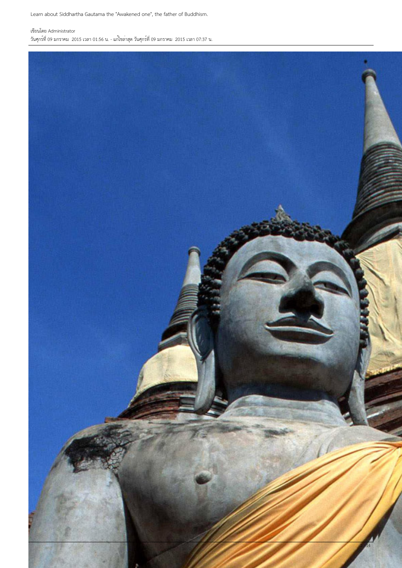#### เขียนโดย Administrator วันศุกร์ที่ 09 มกราคม 2015 เวลา 01:56 น. - แก้ไขล่าสุด วันศุกร์ที่ 09 มกราคม 2015 เวลา 07:37 น.

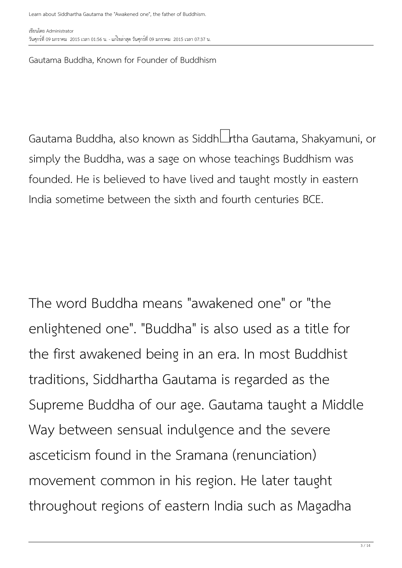Gautama Buddha, Known for Founder of Buddhism

Gautama Buddha, also known as SiddhLrtha Gautama, Shakyamuni, or simply the Buddha, was a sage on whose teachings Buddhism was founded. He is believed to have lived and taught mostly in eastern India sometime between the sixth and fourth centuries BCE.

The word Buddha means "awakened one" or "the enlightened one". "Buddha" is also used as a title for the first awakened being in an era. In most Buddhist traditions, Siddhartha Gautama is regarded as the Supreme Buddha of our age. Gautama taught a Middle Way between sensual indulgence and the severe asceticism found in the Sramana (renunciation) movement common in his region. He later taught throughout regions of eastern India such as Magadha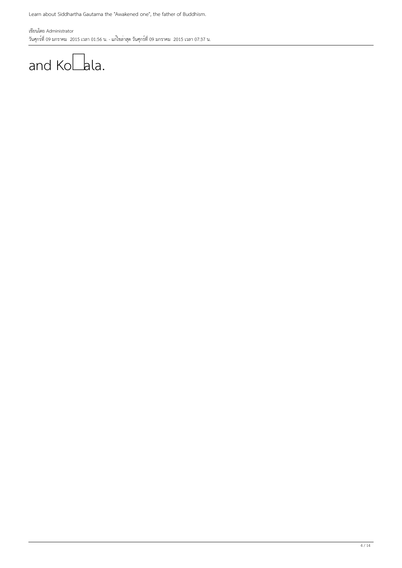เขียนโดย Administrator วันศุกร์ที่ 09 มกราคม 2015 เวลา 01:56 น. - แก้ไขล่าสุด วันศุกร์ที่ 09 มกราคม 2015 เวลา 07:37 น.

### and Kolala.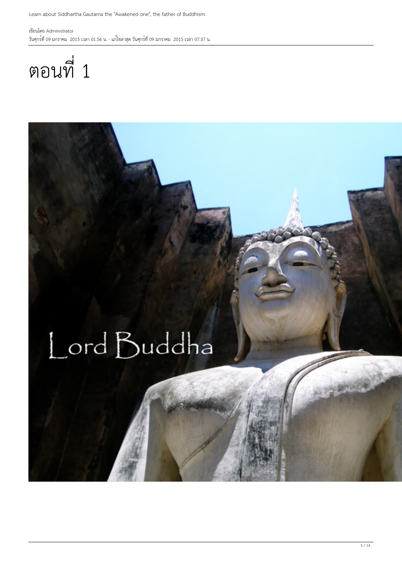เขียนโดย Administrator วันศุกร์ที่ 09 มกราคม 2015 เวลา 01:56 น. - แก้ไขล่าสุด วันศุกร์ที่ 09 มกราคม 2015 เวลา 07:37 น.

### ตอนที่ 1

### Lord Buddha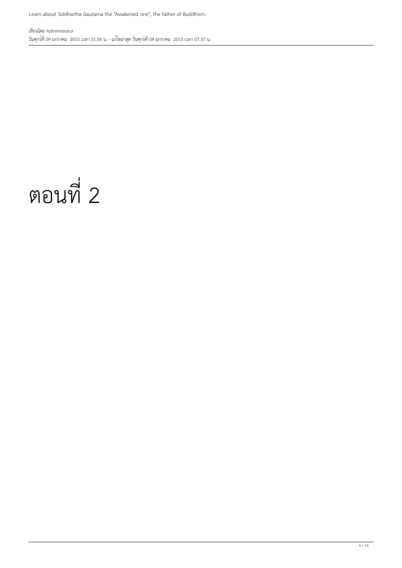เขียนโดย Administrator วันศุกร์ที่ 09 มกราคม 2015 เวลา 01:56 น. - แก้ไขล่าสุด วันศุกร์ที่ 09 มกราคม 2015 เวลา 07:37 น.

### ตอนที่ 2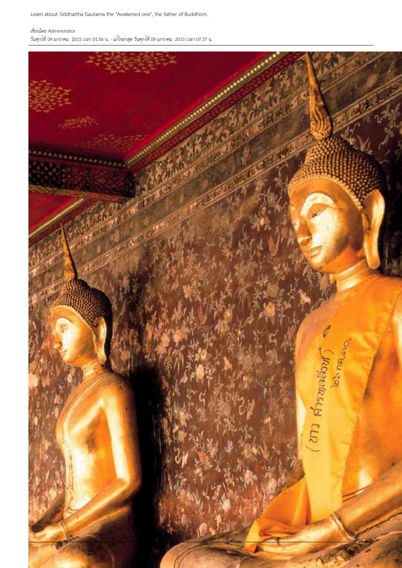#### เขียนโดย Administrator

วันศุกร์ที่ 09 มกราคม 2015 เวลา 01:56 น. - แก้ไขล่าสุด วันศุกร์ที่ 09 มกราคม 2015 เวลา 07:37 น.

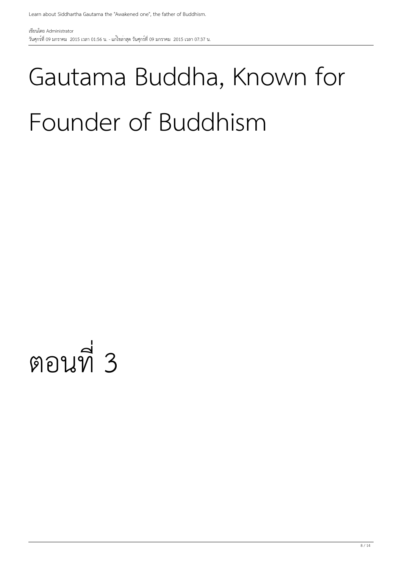## Gautama Buddha, Known for Founder of Buddhism

### ตอนที่ 3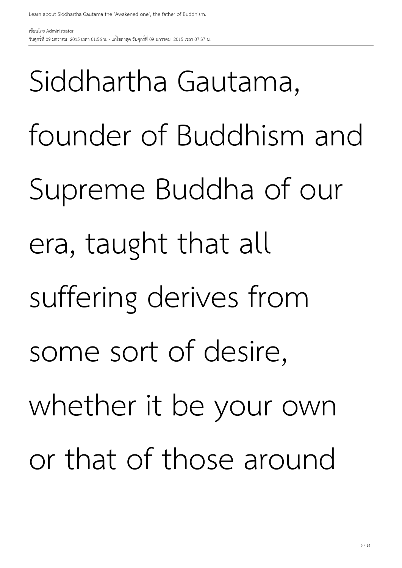Siddhartha Gautama, founder of Buddhism and Supreme Buddha of our era, taught that all suffering derives from some sort of desire, whether it be your own or that of those around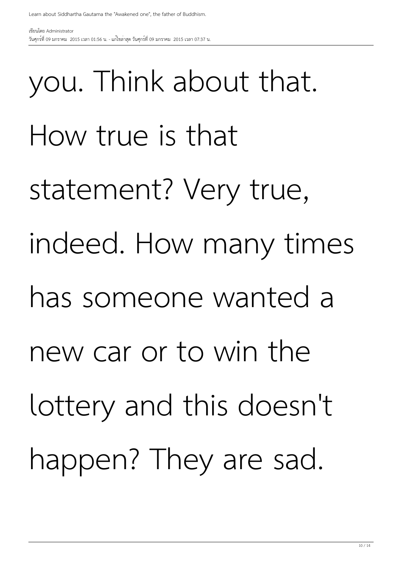you. Think about that. How true is that statement? Very true, indeed. How many times has someone wanted a new car or to win the lottery and this doesn't happen? They are sad.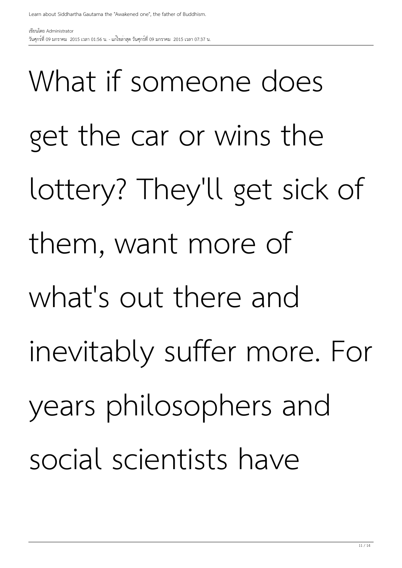What if someone does get the car or wins the lottery? They'll get sick of them, want more of what's out there and inevitably suffer more. For years philosophers and social scientists have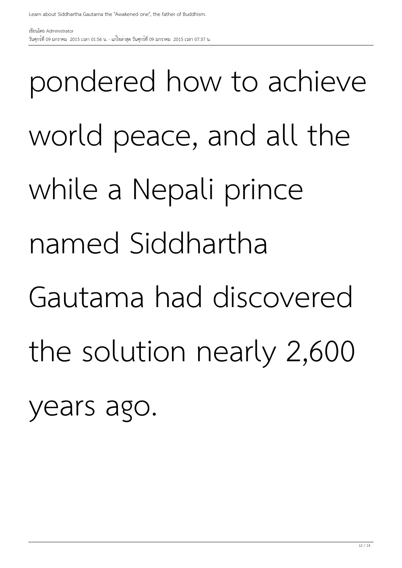pondered how to achieve world peace, and all the while a Nepali prince named Siddhartha Gautama had discovered the solution nearly 2,600 years ago.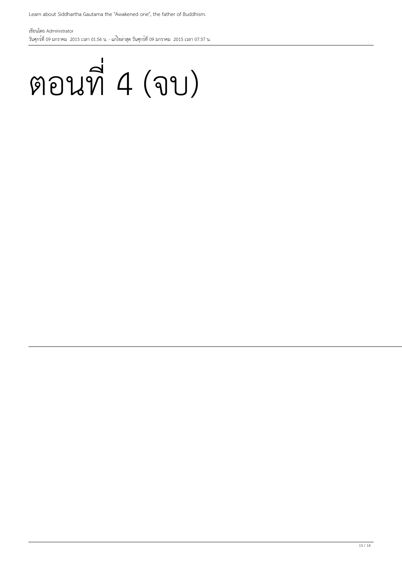เขียนโดย Administrator วันศุกร์ที่ 09 มกราคม 2015 เวลา 01:56 น. - แก้ไขล่าสุด วันศุกร์ที่ 09 มกราคม 2015 เวลา 07:37 น.

# ตอนที่ 4 (จบ)